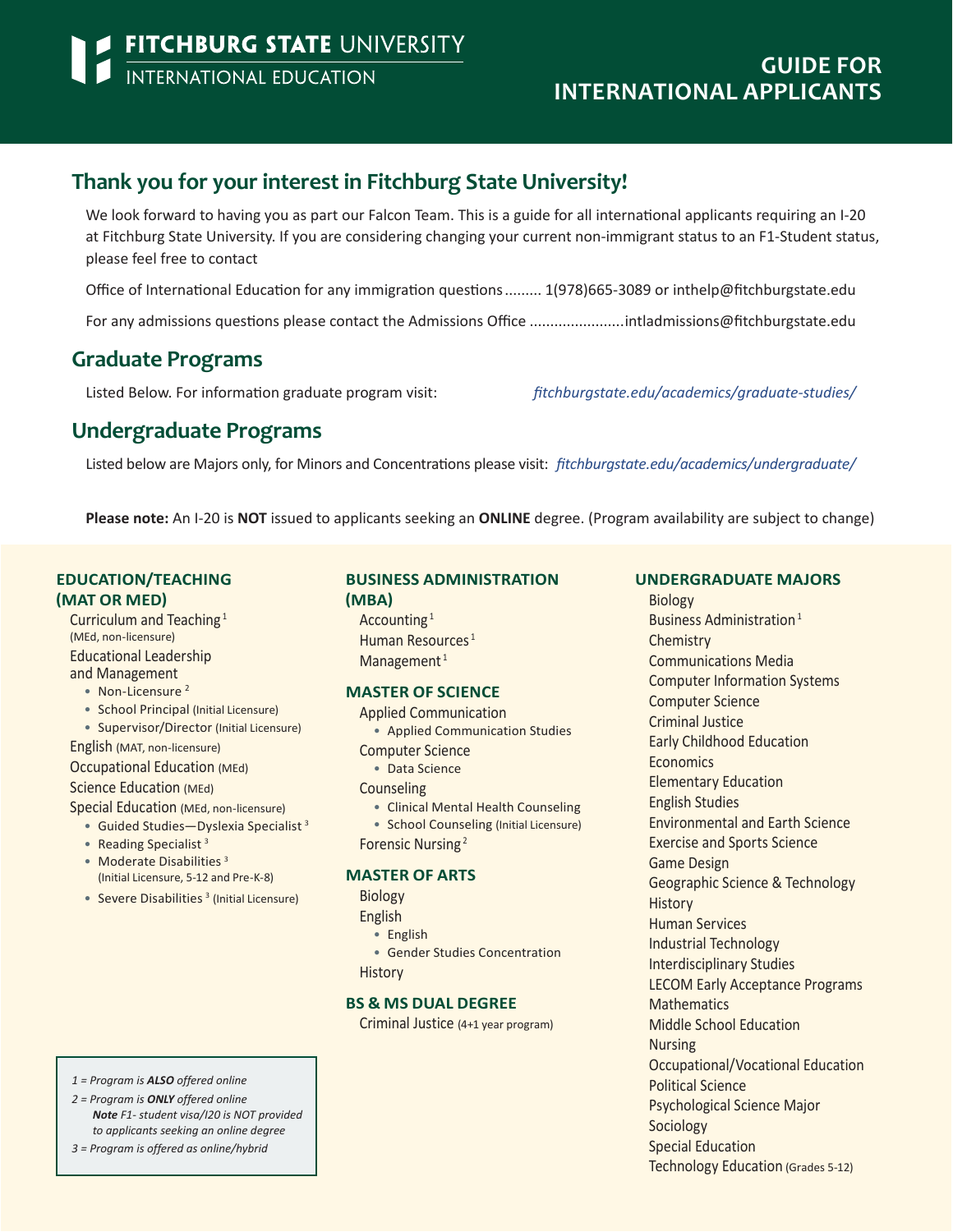## **Thank you for your interest in Fitchburg State University!**

We look forward to having you as part our Falcon Team. This is a guide for all international applicants requiring an I-20 at Fitchburg State University. If you are considering changing your current non-immigrant status to an F1-Student status, please feel free to contact

Office of International Education for any immigration questions......... 1(978)665-3089 or [inthelp@fitchburgstate.edu](mailto:inthelp%40fitchburgstate.edu?subject=)

For any admissions questions please contact the Admissions Office .......................[intladmissions@fitchburgstate.edu](mailto:intladmissions%40fitchburgstate.edu?subject=)

### **Graduate Programs**

Listed Below. For information graduate program visit: *[fitchburgstate.edu/academics/graduate-studies/](http://www.fitchburgstate.edu/academics/graduate-studies/)*

### **Undergraduate Programs**

Listed below are Majors only, for Minors and Concentrations please visit: *[fitchburgstate.edu/academics/undergraduate/](http://www.fitchburgstate.edu/academics/undergraduate/ )*

**Please note:** An I-20 is **NOT** issued to applicants seeking an **ONLINE** degree. (Program availability are subject to change)

### **EDUCATION/TEACHING (MAT OR MED)**

Curriculum and Teaching 1 (MEd, non-licensure) Educational Leadership and Management

- Non-Licensure<sup>2</sup>
- School Principal (Initial Licensure)
- Supervisor/Director (Initial Licensure)

English (MAT, non-licensure) Occupational Education (MEd) Science Education (MEd)

Special Education (MEd, non-licensure)

- Guided Studies—Dyslexia Specialist 3
- Reading Specialist<sup>3</sup>
- Moderate Disabilities<sup>3</sup> (Initial Licensure, 5-12 and Pre-K-8)
- Severe Disabilities<sup>3</sup> (Initial Licensure)

#### **BUSINESS ADMINISTRATION (MBA)**

Accounting 1 Human Resources<sup>1</sup> Management $1$ 

### **MASTER OF SCIENCE**

- Applied Communication • Applied Communication Studies Computer Science • Data Science
- **Counseling**
- Clinical Mental Health Counseling
- School Counseling (Initial Licensure)
- Forensic Nursing<sup>2</sup>

### **MASTER OF ARTS**

Biology

- English
	- English
- Gender Studies Concentration
- **History**

### **BS & MS DUAL DEGREE**

Criminal Justice (4+1 year program)

#### **UNDERGRADUATE MAJORS**

Biology Business Administration 1 **Chemistry** Communications Media Computer Information Systems Computer Science Criminal Justice Early Childhood Education **Economics** Elementary Education English Studies Environmental and Earth Science Exercise and Sports Science Game Design Geographic Science & Technology **History** Human Services Industrial Technology Interdisciplinary Studies LECOM Early Acceptance Programs **Mathematics** Middle School Education Nursing Occupational/Vocational Education Political Science Psychological Science Major Sociology Special Education Technology Education (Grades 5-12)

- *1 = Program is ALSO offered online*
- *2 = Program is ONLY offered online Note F1- student visa/I20 is NOT provided to applicants seeking an online degree*

```
3 = Program is offered as online/hybrid
```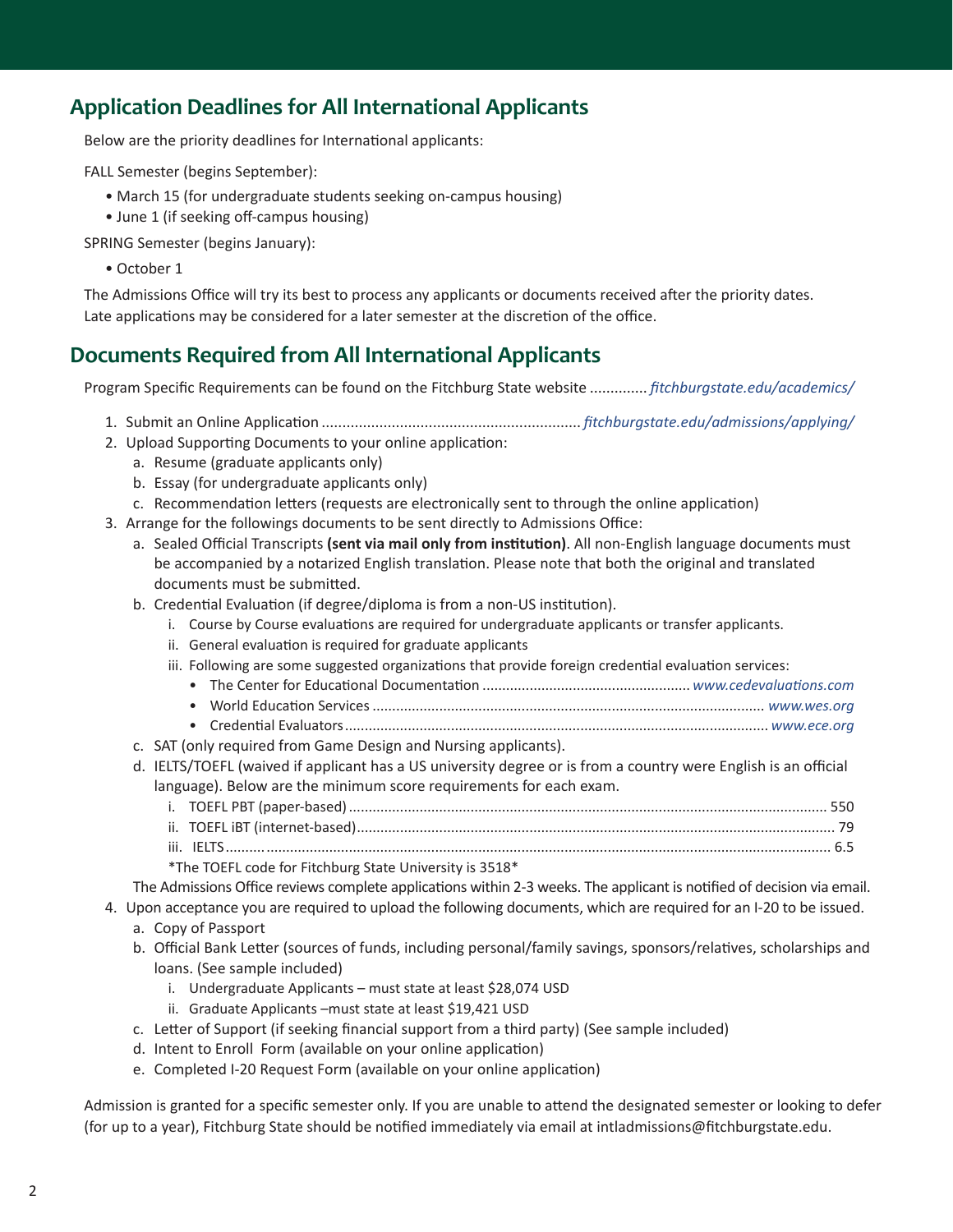## **Application Deadlines for All International Applicants**

Below are the priority deadlines for International applicants:

FALL Semester (begins September):

- March 15 (for undergraduate students seeking on-campus housing)
- June 1 (if seeking off-campus housing)

SPRING Semester (begins January):

• October 1

The Admissions Office will try its best to process any applicants or documents received after the priority dates. Late applications may be considered for a later semester at the discretion of the office.

## **Documents Required from All International Applicants**

Program Specific Requirements can be found on the Fitchburg State website .............. *[fitchburgstate.edu/academics/](http://www.fitchburgstate.edu/academics/ )*

- 1. Submit an Online Application ............................................................... *[fitchburgstate.edu/admissions/applying/](http://www.fitchburgstate.edu/admissions/applying/  )*
- 2. Upload Supporting Documents to your online application:
	- a. Resume (graduate applicants only)
	- b. Essay (for undergraduate applicants only)
	- c. Recommendation letters (requests are electronically sent to through the online application)
- 3. Arrange for the followings documents to be sent directly to Admissions Office:
	- a. Sealed Official Transcripts **(sent via mail only from institution)**. All non-English language documents must be accompanied by a notarized English translation. Please note that both the original and translated documents must be submitted.
	- b. Credential Evaluation (if degree/diploma is from a non-US institution).
		- i. Course by Course evaluations are required for undergraduate applicants or transfer applicants.
		- ii. General evaluation is required for graduate applicants
		- iii. Following are some suggested organizations that provide foreign credential evaluation services:
			- The Center for Educational Documentation ..................................................... *[www.cedevaluations.com](http://www.cedevaluations.com)*
		- World Education Services.................................................................................................... *[www.wes.org](http://www.wes.org)*
		- Credential Evaluators............................................................................................................ *[www.ece.org](http://www.ece.org)*
	- c. SAT (only required from Game Design and Nursing applicants).
	- d. IELTS/TOEFL (waived if applicant has a US university degree or is from a country were English is an official language). Below are the minimum score requirements for each exam.
		- i. TOEFL PBT (paper-based).......................................................................................................................... 550 ii. TOEFL iBT (internet-based).......................................................................................................................... 79 iii. IELTS.......................................................................................................................................................... 6.5
		- \*The TOEFL code for Fitchburg State University is 3518\*

The Admissions Office reviews complete applications within 2-3 weeks. The applicant is notified of decision via email.

- 4. Upon acceptance you are required to upload the following documents, which are required for an I-20 to be issued. a. Copy of Passport
	- b. Official Bank Letter (sources of funds, including personal/family savings, sponsors/relatives, scholarships and loans. (See sample included)
		- i. Undergraduate Applicants must state at least \$28,074 USD
		- ii. Graduate Applicants –must state at least \$19,421 USD
	- c. Letter of Support (if seeking financial support from a third party) (See sample included)
	- d. Intent to Enroll Form (available on your online application)
	- e. Completed I-20 Request Form (available on your online application)

Admission is granted for a specific semester only. If you are unable to attend the designated semester or looking to defer (for up to a year), Fitchburg State should be notified immediately via email at intladmissions@fitchburgstate.edu.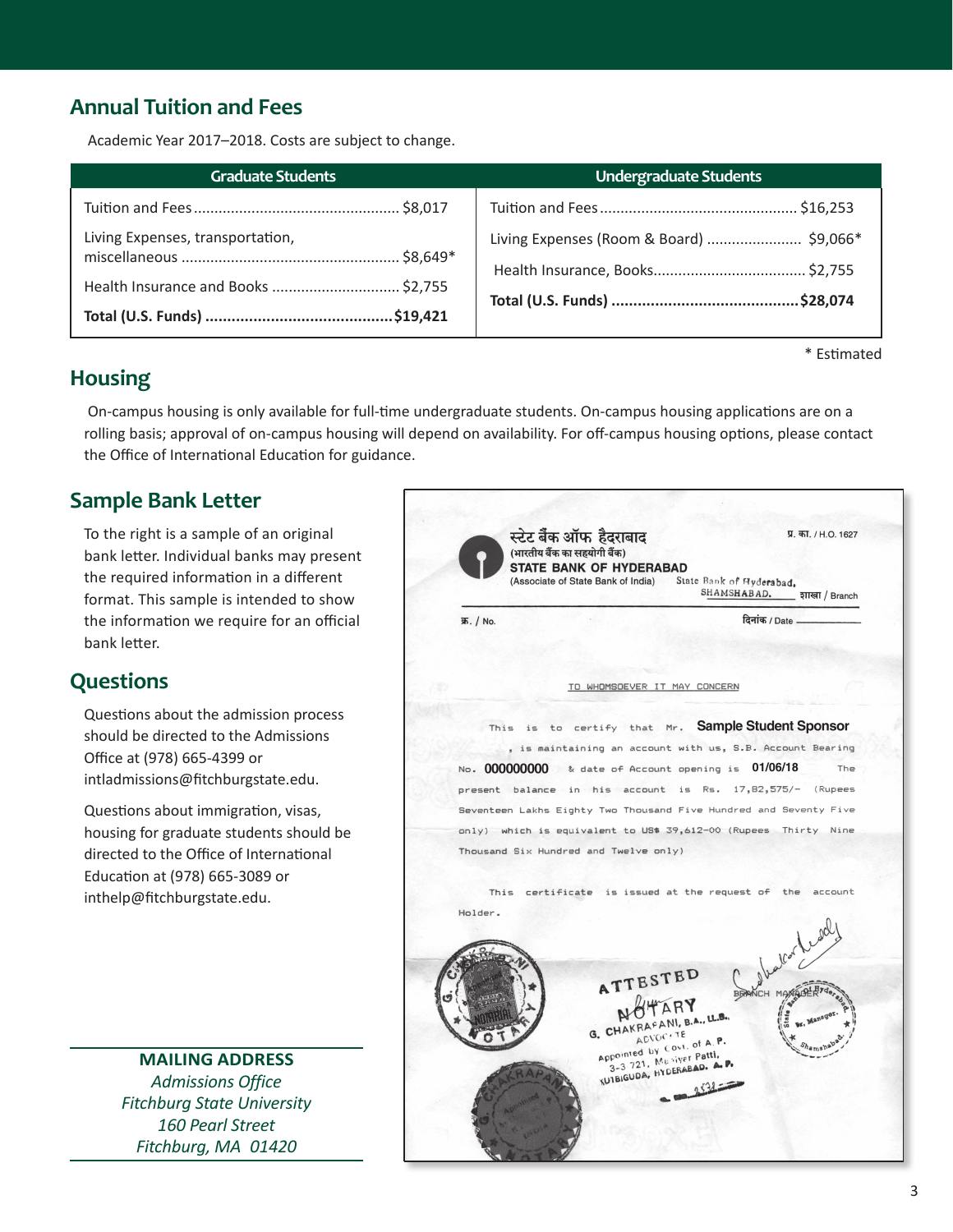# **Annual Tuition and Fees**

Academic Year 2017–2018. Costs are subject to change.

| Graduate Students                   | <b>Undergraduate Students</b>            |
|-------------------------------------|------------------------------------------|
|                                     |                                          |
| Living Expenses, transportation,    | Living Expenses (Room & Board)  \$9,066* |
| Health Insurance and Books  \$2,755 |                                          |

\* Estimated

## **Housing**

 On-campus housing is only available for full-time undergraduate students. On-campus housing applications are on a rolling basis; approval of on-campus housing will depend on availability. For off-campus housing options, please contact the Office of International Education for guidance.

## **Sample Bank Letter**

To the right is a sample of an original bank letter. Individual banks may present the required information in a different format. This sample is intended to show the information we require for an official bank letter.

## **Questions**

Questions about the admission process should be directed to the Admissions Office at (978) 665-4399 or [intladmissions@fitchburgstate.edu](mailto:intladmissions%40fitchburgstate.edu?subject=).

Questions about immigration, visas, housing for graduate students should be directed to the Office of International Education at (978) 665-3089 or [inthelp@fitchburgstate.edu](mailto:inthelp%40fitchburgstate.edu?subject=).

> **MAILING ADDRESS** *Admissions Office Fitchburg State University 160 Pearl Street Fitchburg, MA 01420*